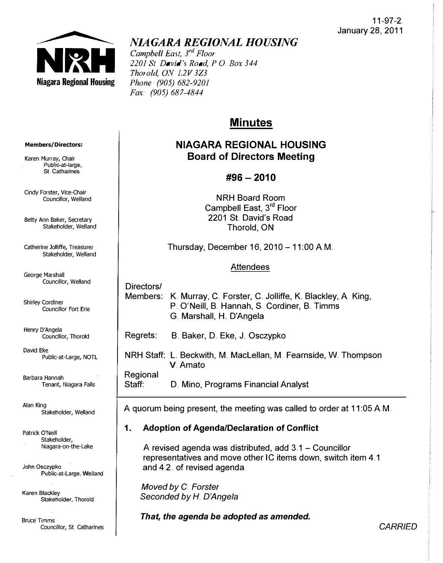

# NIAGARA REGIONAL HOUSING

Campbell East, 3<sup>rd</sup> Floor 2201 St David's Road, P O, Box 344 Thorold, ON L2V 3Z3 Phone (905) 682-9201 Fax. (905) 687-4844

# **Minutes**

# NIAGARA REGIONAL HOUSING Board of Directors Meeting

## $\#96 - 2010$

NRH Board Room Campbell East, 3<sup>rd</sup> Floor 2201 St. David's Road Thorold, ON

Thursday, December 16, 2010 - 11 :00 AM.

## Attendees

Directors/

Members: K. Murray, C. Forster, C. Jolliffe, K. Blackley, A. King, P. O'Neill, B. Hannah, S. Cordiner, B. Timms G. Marshall, H. D'Angela

Regrets: B. Baker, D. Eke, J. Osczypko

NRH Staff: L Beckwith, M. MacLellan, M. Fearnside, W. Thompson V.Amato

Regional

Staff: D. Mino, Programs Financial Analyst

A quorum being present, the meeting was called to order at 11 :05 AM.

## 1. Adoption of AgendalDeclaration of Conflict

A revised agenda was distributed, add  $3.1 -$  Councillor representatives and move other IC items down, switch item 4 .. 1 and 4.2.. of revised agenda.

Moved by C. Forster Seconded by H. D'Angela

That, the agenda be adopted as amended.

#### Members/Directors:

Karen Murray, Chair Public-at-Iarge, St Catharines

Cindy Forster, Vice-Chair Councillor, Welland

Betty Ann Baker, Secretary Stakeholder, Welland

Catherine Jolliffe, Treasurer Stakeholder, Welland

George Marshal! Councillor, Welland

Shirley Cordiner Councillor Fort Erie

Henry D'Angela Councillor, Thorold

David Eke Public-at-Large, NOTL

Barbara Hannah Tenant, Niagara Falls

Alan King Stakeholder, Welland

Patrick O'Neill Stakeholder, Niagara-on-the-Lake

John Osczypko Public-at-Large, Welland

Karen Blackley Stakeholder, Thorofd

8ruce Timms Councillor, St Catharines

*CARRIED*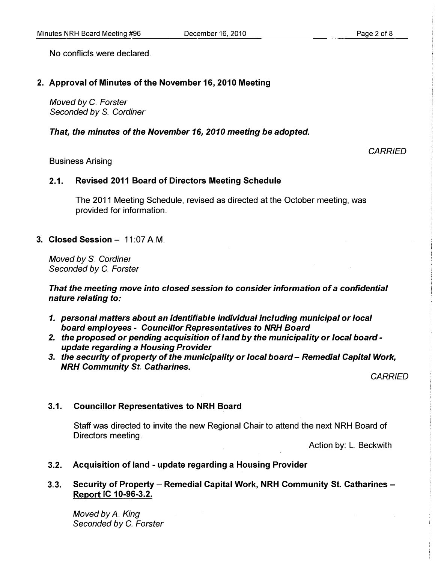**CARRIED** 

No conflicts were declared

### 2. Approval of Minutes of the November 16, 2010 Meeting

Moved by C. Forster Seconded by S. Cordiner

That, the minutes of the November 16, 2010 meeting be adopted.

#### Business Arising

#### 2.1. Revised 2011 Board of Directors Meeting Schedule

The 2011 Meeting Schedule, revised as directed at the October meeting, was provided for information.

## 3. Closed Session - 11:07 A.M.

Moved by S. Cordiner Seconded by C. Forster

That the meeting move into closed session to consider information of a confidential nature relating to:

- 1. personal matters about an identifiable individual including municipal or local board employees - Councillor Representatives to NRH Board
- 2. the proposed or pending acquisition of land by the municipality or local board update regarding a Housing Provider
- 3. the security of property of the municipality or local board Remedial Capital Work, **NRH Community St. Catharines.**

**CARRIED** 

#### 3.1. Councillor Representatives to NRH Board

Staff was directed to invite the new Regional Chair to attend the next NRH Board of Directors meeting.

Action by: L. Beckwith

3.2. Acquisition of land - update regarding a Housing Provider

## 3.3. Security of Property - Remedial Capital Work, NRH Community St. Catharines -Report IC 10-96-3.2.

Moved by A. King Seconded by C. Forster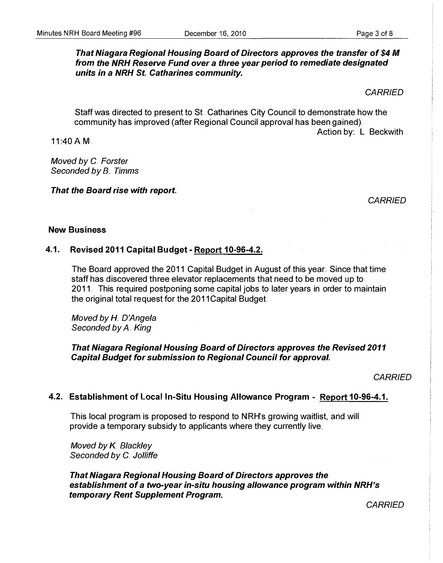## That Niagara Regional Housing Board of Directors approves the transfer of \$4 M from the NRH Reserve Fund over a three year period to remediate designated units in a NRH St. Catharines community.

**CARRIED** 

Action by: L. Beckwith

Staff was directed to present to St Catharines City Council to demonstrate how the community has improved (after Regional Council approval has been gained) ..

11:40 AM.

Moved by C. Forster Seconded by B. Timms

That the Board rise with report

**CARRIED** 

## New Business

## 4.1. Revised 2011 Capital Budget - Report 10-96-4.2.

The Board approved the 2011 Capital Budget in August of this year.. Since that time staff has discovered three elevator replacements that need to be moved up to 2011. This required postponing some capital jobs to later years in order to maintain the original total request for the 2011 Capital Budget

Moved by H. D'Angela Seconded by A. King

## That Niagara Regional Housing Board of Directors approves the Revised 2011 Capital Budget for submission to Regional Council for approval,

**CARRIED** 

## 4.2. Establishment of Loca! In-Situ Housing Allowance Program - Report 10-96-4.1.

This local program is proposed to respond to NRH's growing waitlist, and will provide a temporary subsidy to applicants where they currently live ..

Moved by K. Blackley Seconded by C. Jolliffe

That Niagara Regional Housing Board of Directors approves the establishment of a two-year in-situ housing allowance program within NRH's temporary Rent Supplement Program.

**CARRIED**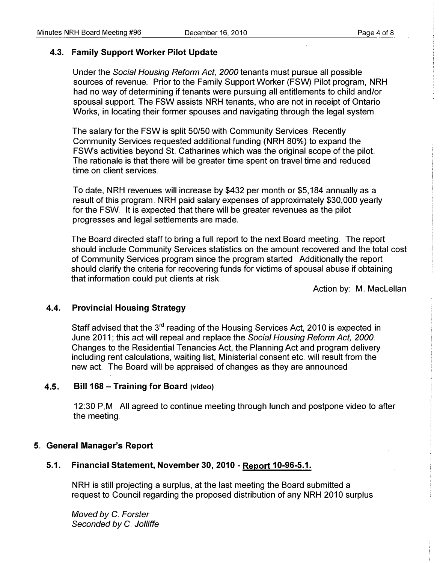#### 4.3. Family Support Worker Pilot Update

Under the Social Housing Reform Act, 2000 tenants must pursue all possible sources of revenue. Prior to the Family Support Worker (FSW) Pilot program, NRH had no way of determining if tenants were pursuing all entitlements to child and/or spousal support. The FSW assists NRH tenants, who are not in receipt of Ontario Works, in locating their former spouses and navigating through the legal system.

The salary for the FSW is split 50/50 with Community Services. Recently Community Services requested additional funding (NRH 80%) to expand the FSW's activities beyond St Catharines which was the original scope of the pilot The rationale is that there will be greater time spent on travel time and reduced time on client services.

To date, NRH revenues will increase by \$432 per month or \$5,184 annually as a result of this program.. NRH paid salary expenses of approximately \$30,000 yearly for the FSW. It is expected that there will be greater revenues as the pilot progresses and legal settlements are made ..

The Board directed staff to bring a full report to the next Board meeting .. The report should include Community Services statistics on the amount recovered and the total cost of Community Services program since the program started. Additionally the report should clarify the criteria for recovering funds for victims of spousal abuse if obtaining that information could put clients at risk ..

Action by: M. MacLellan

#### 4.4. Provincial Housing Strategy

Staff advised that the 3<sup>rd</sup> reading of the Housing Services Act, 2010 is expected in June 2011; this act will repeal and replace the Social Housing Reform Act, 2000. Changes to the Residential Tenancies Act, the Planning Act and program delivery including rent calculations, waiting list, Ministerial consent etc. will result from the new act The Board will be appraised of changes as they are announced.

#### 4.5. Bill 168 - Training for Board (video)

12:30 PM All agreed to continue meeting through lunch and postpone video to after the meeting.

#### 5" General Manager's Report

## 5.1. Financial Statement, November 30, 2010 - Report 10-96-5.1.

NRH is still projecting a surplus, at the last meeting the Board submitted a request to Council regarding the proposed distribution of any NRH 2010 surplus.

Moved by C. Forster Seconded by C. Jolliffe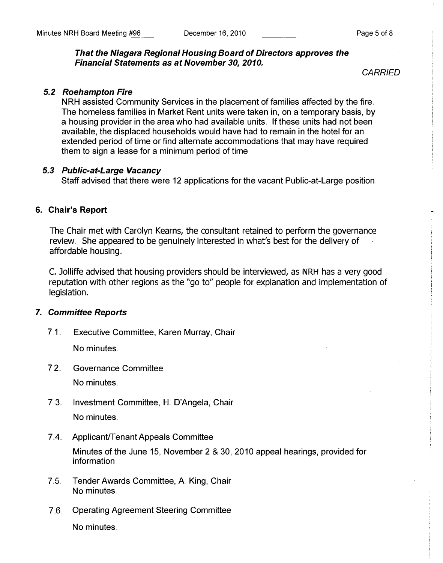## That the Niagara Regional Housing Board of Directors approves the **Financial Statements as at November 30, 2010.**

**CARRIED** 

## 5.2 Roehampton Fire

NRH assisted Community Services in the placement of families affected by the fire. The homeless families in Market Rent units were taken in, on a temporary basis, by a housing provider in the area who had available units. If these units had not been available, the displaced households would have had to remain in the hotel for an extended period of time or find alternate accommodations that may have required them to sign a lease for a minimum period of time

## 5.3 Public-at-Large Vacancy

Staff advised that there were 12 applications for the vacant Public-at-Large position.

## 6. Chair's Report

The Chair met with Carolyn Kearns, the consultant retained to perform the governance review., She appeared to be genuinely interested in what's best for the delivery of affordable housing.,

C. Jolliffe advised that housing providers should be interviewed, as NRH has a very good reputation with other regions as the "go to" people for explanation and implementation of legislation.

## 7. Committee Reports

7.1.. Executive Committee, Karen Murray, Chair

No minutes.

7.2.. Governance Committee

No minutes

- 7. 3.. Investment Committee, H. O'Angela, Chair No minutes.
- 7.4. Applicant/Tenant Appeals Committee

Minutes of the June 15, November 2 & 30, 2010 appeal hearings, provided for information.

- 7.5.. Tender Awards Committee, A King, Chair No minutes ..
- 7.6. Operating Agreement Steering Committee

No minutes ..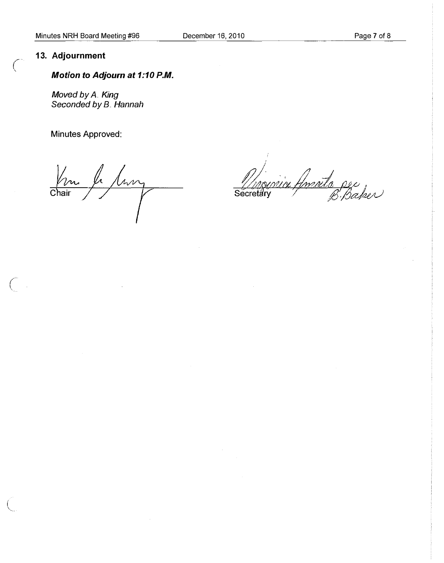## 13. Adjournment

 $\bigcap$ 

 $\bigcap$ 

## Motion to Adjourn at 1:10 P.M.

Moved by A. King Seconded by B. Hannah

Minutes Approved:

le tury  $\frac{r}{\text{Chair}}$ 

ria Amada per Secretary